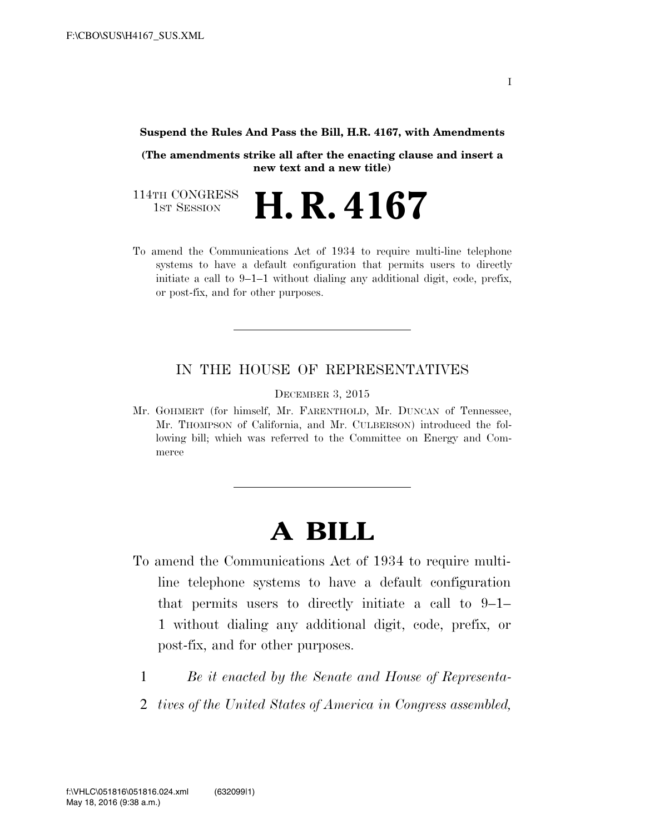#### **Suspend the Rules And Pass the Bill, H.R. 4167, with Amendments**

**(The amendments strike all after the enacting clause and insert a new text and a new title)** 

114TH CONGRESS<br>1st Session 1ST SESSION **H. R. 4167**

To amend the Communications Act of 1934 to require multi-line telephone systems to have a default configuration that permits users to directly initiate a call to 9–1–1 without dialing any additional digit, code, prefix, or post-fix, and for other purposes.

#### IN THE HOUSE OF REPRESENTATIVES

DECEMBER 3, 2015

Mr. GOHMERT (for himself, Mr. FARENTHOLD, Mr. DUNCAN of Tennessee, Mr. THOMPSON of California, and Mr. CULBERSON) introduced the following bill; which was referred to the Committee on Energy and Commerce

# **A BILL**

- To amend the Communications Act of 1934 to require multiline telephone systems to have a default configuration that permits users to directly initiate a call to 9–1– 1 without dialing any additional digit, code, prefix, or post-fix, and for other purposes.
	- 1 *Be it enacted by the Senate and House of Representa-*
	- 2 *tives of the United States of America in Congress assembled,*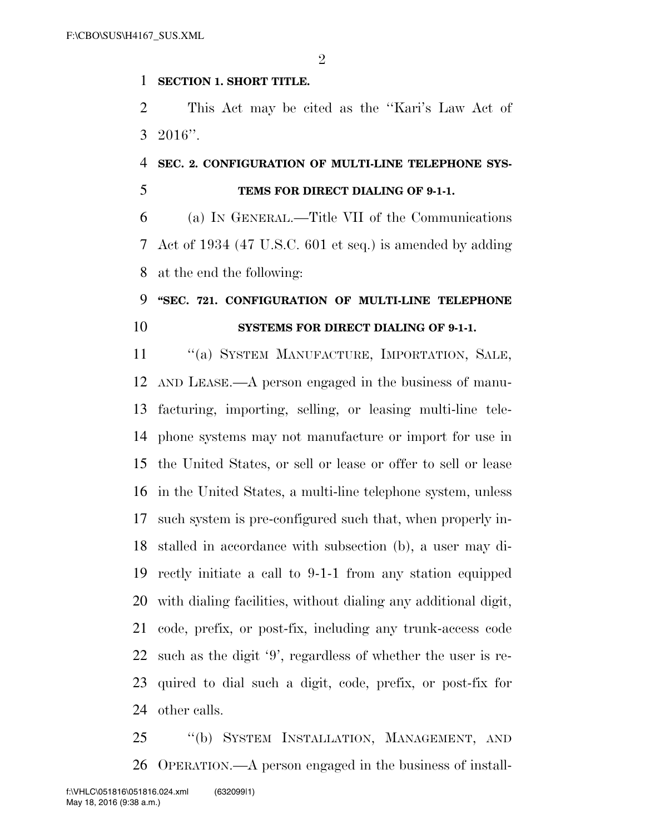$\mathfrak{D}$ 

#### **SECTION 1. SHORT TITLE.**

 This Act may be cited as the ''Kari's Law Act of 2016''.

### **SEC. 2. CONFIGURATION OF MULTI-LINE TELEPHONE SYS-**

### **TEMS FOR DIRECT DIALING OF 9-1-1.**

 (a) IN GENERAL.—Title VII of the Communications Act of 1934 (47 U.S.C. 601 et seq.) is amended by adding at the end the following:

## **''SEC. 721. CONFIGURATION OF MULTI-LINE TELEPHONE SYSTEMS FOR DIRECT DIALING OF 9-1-1.**

 ''(a) SYSTEM MANUFACTURE, IMPORTATION, SALE, AND LEASE.—A person engaged in the business of manu- facturing, importing, selling, or leasing multi-line tele- phone systems may not manufacture or import for use in the United States, or sell or lease or offer to sell or lease in the United States, a multi-line telephone system, unless such system is pre-configured such that, when properly in- stalled in accordance with subsection (b), a user may di- rectly initiate a call to 9-1-1 from any station equipped with dialing facilities, without dialing any additional digit, code, prefix, or post-fix, including any trunk-access code such as the digit '9', regardless of whether the user is re- quired to dial such a digit, code, prefix, or post-fix for other calls.

 ''(b) SYSTEM INSTALLATION, MANAGEMENT, AND OPERATION.—A person engaged in the business of install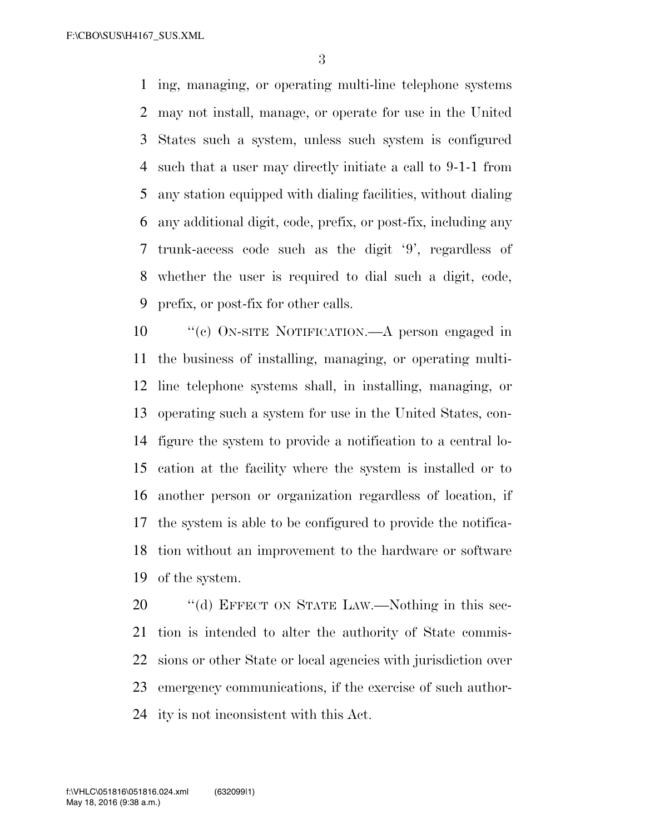F:\CBO\SUS\H4167\_SUS.XML

 ing, managing, or operating multi-line telephone systems may not install, manage, or operate for use in the United States such a system, unless such system is configured such that a user may directly initiate a call to 9-1-1 from any station equipped with dialing facilities, without dialing any additional digit, code, prefix, or post-fix, including any trunk-access code such as the digit '9', regardless of whether the user is required to dial such a digit, code, prefix, or post-fix for other calls.

 ''(c) ON-SITE NOTIFICATION.—A person engaged in the business of installing, managing, or operating multi- line telephone systems shall, in installing, managing, or operating such a system for use in the United States, con- figure the system to provide a notification to a central lo- cation at the facility where the system is installed or to another person or organization regardless of location, if the system is able to be configured to provide the notifica- tion without an improvement to the hardware or software of the system.

20 "(d) EFFECT ON STATE LAW.—Nothing in this sec- tion is intended to alter the authority of State commis- sions or other State or local agencies with jurisdiction over emergency communications, if the exercise of such author-ity is not inconsistent with this Act.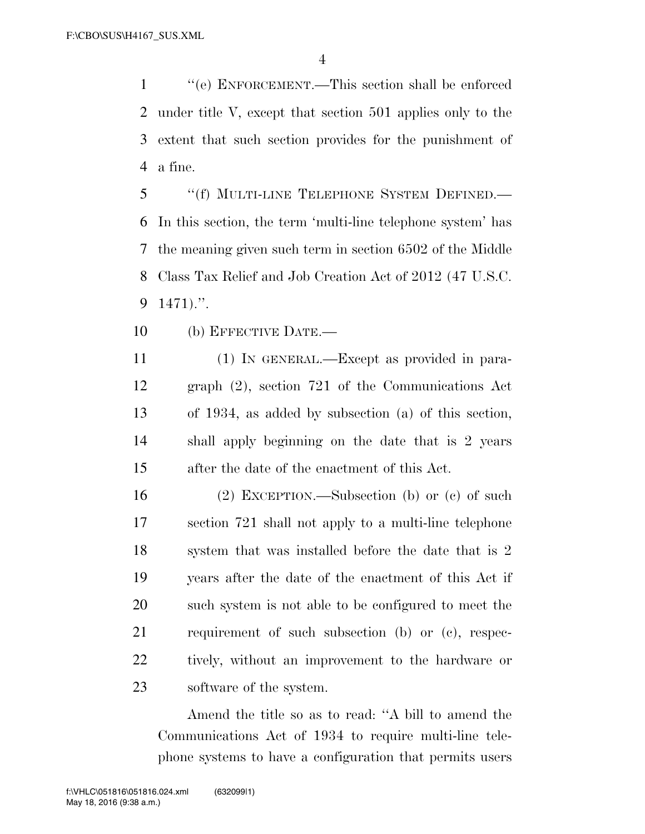''(e) ENFORCEMENT.—This section shall be enforced under title V, except that section 501 applies only to the extent that such section provides for the punishment of a fine.

 ''(f) MULTI-LINE TELEPHONE SYSTEM DEFINED.— In this section, the term 'multi-line telephone system' has the meaning given such term in section 6502 of the Middle Class Tax Relief and Job Creation Act of 2012 (47 U.S.C. 1471).''.

(b) EFFECTIVE DATE.—

 (1) IN GENERAL.—Except as provided in para- graph (2), section 721 of the Communications Act of 1934, as added by subsection (a) of this section, shall apply beginning on the date that is 2 years after the date of the enactment of this Act.

 (2) EXCEPTION.—Subsection (b) or (c) of such section 721 shall not apply to a multi-line telephone system that was installed before the date that is 2 years after the date of the enactment of this Act if such system is not able to be configured to meet the requirement of such subsection (b) or (c), respec- tively, without an improvement to the hardware or software of the system.

Amend the title so as to read: ''A bill to amend the Communications Act of 1934 to require multi-line telephone systems to have a configuration that permits users